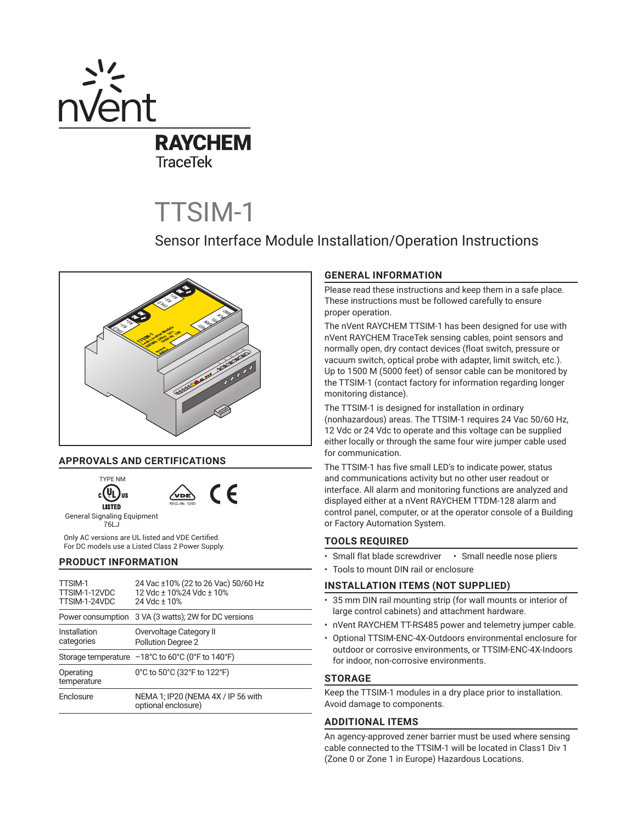

# TTSIM-1

# Sensor Interface Module Installation/Operation Instructions



# **APPROVALS AND CERTIFICATIONS**



 $\epsilon$ 

General Signaling Equipment 76LJ

Only AC versions are UL listed and VDE Certified. For DC models use a Listed Class 2 Power Supply.

# **PRODUCT INFORMATION**

| TTSIM-1<br>TTSIM-1-12VDC<br>TTSIM-1-24VDC | 24 Vac ±10% (22 to 26 Vac) 50/60 Hz<br>12 Vdc + 10%24 Vdc + 10%<br>24 Vdc + 10%             |  |  |
|-------------------------------------------|---------------------------------------------------------------------------------------------|--|--|
|                                           | Power consumption 3 VA (3 watts); 2W for DC versions                                        |  |  |
| Installation<br>categories                | Overvoltage Category II<br><b>Pollution Degree 2</b>                                        |  |  |
|                                           | Storage temperature $-18^{\circ}$ C to 60 $^{\circ}$ C (0 $^{\circ}$ F to 140 $^{\circ}$ F) |  |  |
| Operating<br>temperature                  | 0°C to 50°C (32°F to 122°F)                                                                 |  |  |
| Enclosure                                 | NEMA 1; IP20 (NEMA 4X / IP 56 with<br>optional enclosure)                                   |  |  |

# **GENERAL INFORMATION**

Please read these instructions and keep them in a safe place. These instructions must be followed carefully to ensure proper operation.

The nVent RAYCHEM TTSIM-1 has been designed for use with nVent RAYCHEM TraceTek sensing cables, point sensors and normally open, dry contact devices (float switch, pressure or vacuum switch, optical probe with adapter, limit switch, etc.). Up to 1500 M (5000 feet) of sensor cable can be monitored by the TTSIM-1 (contact factory for information regarding longer monitoring distance).

The TTSIM-1 is designed for installation in ordinary (nonhazardous) areas. The TTSIM-1 requires 24 Vac 50/60 Hz, 12 Vdc or 24 Vdc to operate and this voltage can be supplied either locally or through the same four wire jumper cable used for communication.

The TTSIM-1 has five small LED's to indicate power, status and communications activity but no other user readout or interface. All alarm and monitoring functions are analyzed and displayed either at a nVent RAYCHEM TTDM-128 alarm and control panel, computer, or at the operator console of a Building or Factory Automation System.

# **TOOLS REQUIRED**

- Small flat blade screwdriver Small needle nose pliers
- Tools to mount DIN rail or enclosure

# **INSTALLATION ITEMS (NOT SUPPLIED)**

- 35 mm DIN rail mounting strip (for wall mounts or interior of large control cabinets) and attachment hardware.
- nVent RAYCHEM TT-RS485 power and telemetry jumper cable.
- Optional TTSIM-ENC-4X-Outdoors environmental enclosure for outdoor or corrosive environments, or TTSIM-ENC-4X-Indoors for indoor, non-corrosive environments.

# **STORAGE**

Keep the TTSIM-1 modules in a dry place prior to installation. Avoid damage to components.

# **ADDITIONAL ITEMS**

An agency-approved zener barrier must be used where sensing cable connected to the TTSIM-1 will be located in Class1 Div 1 (Zone 0 or Zone 1 in Europe) Hazardous Locations.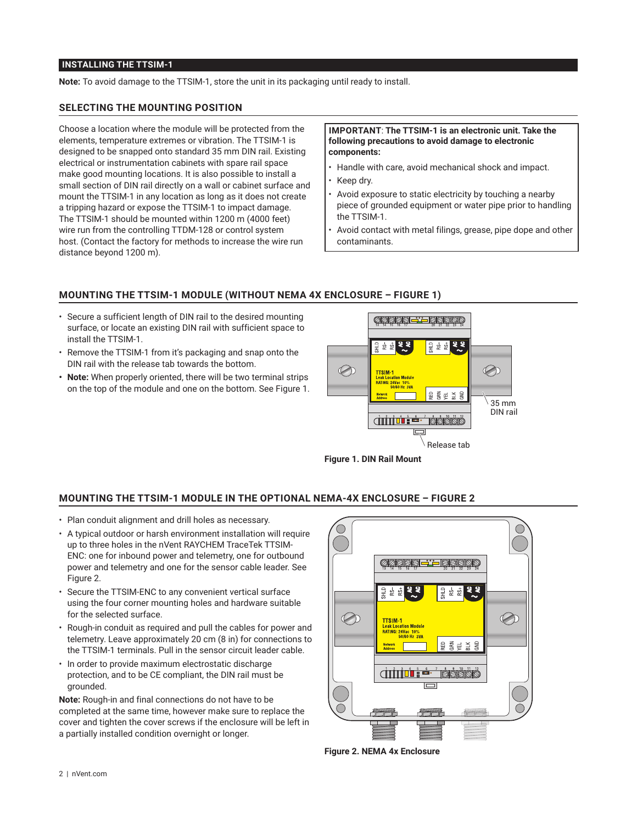# **INSTALLING THE TTSIM-1**

**Note:** To avoid damage to the TTSIM-1, store the unit in its packaging until ready to install.

#### **SELECTING THE MOUNTING POSITION**

Choose a location where the module will be protected from the elements, temperature extremes or vibration. The TTSIM-1 is designed to be snapped onto standard 35 mm DIN rail. Existing electrical or instrumentation cabinets with spare rail space make good mounting locations. It is also possible to install a small section of DIN rail directly on a wall or cabinet surface and mount the TTSIM-1 in any location as long as it does not create a tripping hazard or expose the TTSIM-1 to impact damage. The TTSIM-1 should be mounted within 1200 m (4000 feet) wire run from the controlling TTDM-128 or control system host. (Contact the factory for methods to increase the wire run distance beyond 1200 m).

#### **IMPORTANT**: **The TTSIM-1 is an electronic unit. Take the following precautions to avoid damage to electronic components:**

- Handle with care, avoid mechanical shock and impact.
- Keep dry.
- Avoid exposure to static electricity by touching a nearby piece of grounded equipment or water pipe prior to handling the TTSIM-1.
- Avoid contact with metal filings, grease, pipe dope and other contaminants.

# **MOUNTING THE TTSIM-1 MODULE (WITHOUT NEMA 4X ENCLOSURE – FIGURE 1)**

- Secure a sufficient length of DIN rail to the desired mounting surface, or locate an existing DIN rail with sufficient space to install the TTSIM-1.
- Remove the TTSIM-1 from it's packaging and snap onto the DIN rail with the release tab towards the bottom.
- **• Note:** When properly oriented, there will be two terminal strips on the top of the module and one on the bottom. See Figure 1.



**Figure 1. DIN Rail Mount**

# **MOUNTING THE TTSIM-1 MODULE IN THE OPTIONAL NEMA-4X ENCLOSURE – FIGURE 2**

- Plan conduit alignment and drill holes as necessary.
- A typical outdoor or harsh environment installation will require up to three holes in the nVent RAYCHEM TraceTek TTSIM-ENC: one for inbound power and telemetry, one for outbound power and telemetry and one for the sensor cable leader. See Figure 2.
- Secure the TTSIM-ENC to any convenient vertical surface using the four corner mounting holes and hardware suitable for the selected surface.
- Rough-in conduit as required and pull the cables for power and telemetry. Leave approximately 20 cm (8 in) for connections to the TTSIM-1 terminals. Pull in the sensor circuit leader cable.
- In order to provide maximum electrostatic discharge protection, and to be CE compliant, the DIN rail must be grounded.

**Note:** Rough-in and final connections do not have to be completed at the same time, however make sure to replace the cover and tighten the cover screws if the enclosure will be left in a partially installed condition overnight or longer.



**Figure 2. NEMA 4x Enclosure**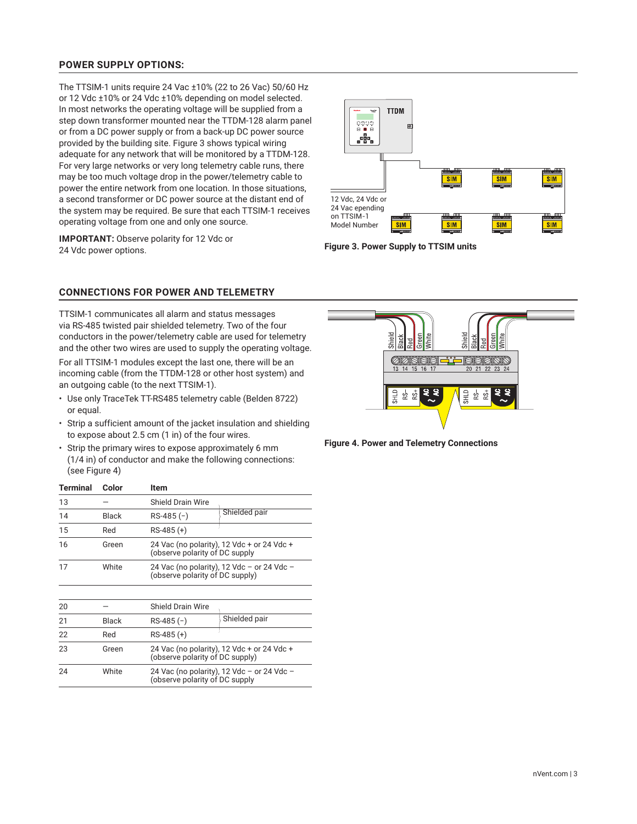# **POWER SUPPLY OPTIONS:**

The TTSIM-1 units require 24 Vac ±10% (22 to 26 Vac) 50/60 Hz or 12 Vdc ±10% or 24 Vdc ±10% depending on model selected. In most networks the operating voltage will be supplied from a step down transformer mounted near the TTDM-128 alarm panel or from a DC power supply or from a back-up DC power source provided by the building site. Figure 3 shows typical wiring adequate for any network that will be monitored by a TTDM-128. For very large networks or very long telemetry cable runs, there may be too much voltage drop in the power/telemetry cable to power the entire network from one location. In those situations, a second transformer or DC power source at the distant end of the system may be required. Be sure that each TTSIM-1 receives operating voltage from one and only one source.

**IMPORTANT:** Observe polarity for 12 Vdc or 24 Vdc power options.



**Figure 3. Power Supply to TTSIM units**

# **CONNECTIONS FOR POWER AND TELEMETRY**

TTSIM-1 communicates all alarm and status messages via RS-485 twisted pair shielded telemetry. Two of the four conductors in the power/telemetry cable are used for telemetry and the other two wires are used to supply the operating voltage.

For all TTSIM-1 modules except the last one, there will be an incoming cable (from the TTDM-128 or other host system) and an outgoing cable (to the next TTSIM-1).

- Use only TraceTek TT-RS485 telemetry cable (Belden 8722) or equal.
- Strip a sufficient amount of the jacket insulation and shielding to expose about 2.5 cm (1 in) of the four wires.
- Strip the primary wires to expose approximately 6 mm (1/4 in) of conductor and make the following connections: (see Figure 4)

| <b>Terminal</b>                                                                             | Color        | Item                                                                          |               |  |
|---------------------------------------------------------------------------------------------|--------------|-------------------------------------------------------------------------------|---------------|--|
| 13                                                                                          |              | <b>Shield Drain Wire</b>                                                      |               |  |
| 14                                                                                          | <b>Black</b> | $RS-485(-)$                                                                   | Shielded pair |  |
| 15                                                                                          | Red          | RS-485 (+)                                                                    |               |  |
| 16                                                                                          | Green        | 24 Vac (no polarity), 12 Vdc + or 24 Vdc +<br>(observe polarity of DC supply  |               |  |
| 17                                                                                          | White        | 24 Vac (no polarity), 12 Vdc - or 24 Vdc -<br>(observe polarity of DC supply) |               |  |
|                                                                                             |              |                                                                               |               |  |
| 20                                                                                          |              | <b>Shield Drain Wire</b>                                                      |               |  |
| 21                                                                                          | <b>Black</b> | RS-485 (-)                                                                    | Shielded pair |  |
| 22                                                                                          | Red          | $RS-485 (+)$                                                                  |               |  |
| 23                                                                                          | Green        | 24 Vac (no polarity), 12 Vdc + or 24 Vdc +<br>(observe polarity of DC supply) |               |  |
| White<br>24<br>24 Vac (no polarity), 12 Vdc – or 24 Vdc –<br>(observe polarity of DC supply |              |                                                                               |               |  |
|                                                                                             |              |                                                                               |               |  |



**Figure 4. Power and Telemetry Connections**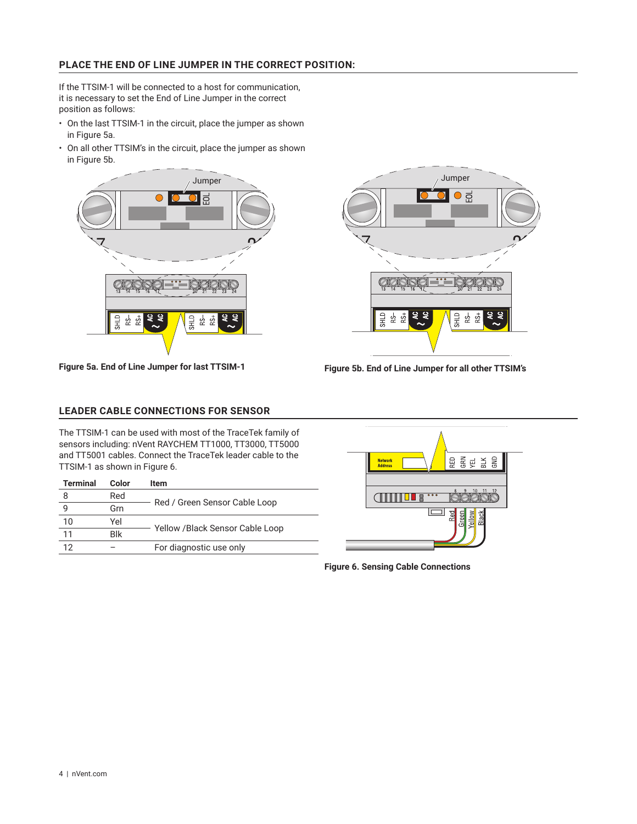# **PLACE THE END OF LINE JUMPER IN THE CORRECT POSITION:**

If the TTSIM-1 will be connected to a host for communication, it is necessary to set the End of Line Jumper in the correct position as follows:

- On the last TTSIM-1 in the circuit, place the jumper as shown in Figure 5a.
- On all other TTSIM's in the circuit, place the jumper as shown in Figure 5b.



**Figure 5a. End of Line Jumper for last TTSIM-1**



**Figure 5b. End of Line Jumper for all other TTSIM's**

# **LEADER CABLE CONNECTIONS FOR SENSOR**

The TTSIM-1 can be used with most of the TraceTek family of sensors including: nVent RAYCHEM TT1000, TT3000, TT5000 and TT5001 cables. Connect the TraceTek leader cable to the TTSIM-1 as shown in Figure 6.

| <b>Terminal</b> | Color | ltem                            |  |
|-----------------|-------|---------------------------------|--|
| 8               | Red   |                                 |  |
| 9               | Grn   | Red / Green Sensor Cable Loop   |  |
| 10              | Yel   |                                 |  |
| 11              | Blk   | Yellow /Black Sensor Cable Loop |  |
| 12              |       | For diagnostic use only         |  |



**Figure 6. Sensing Cable Connections**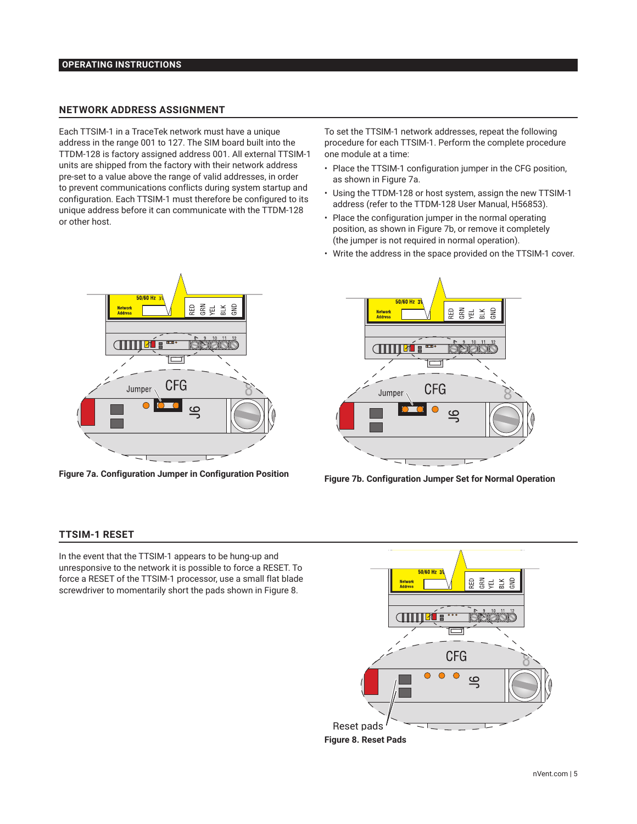# **OPERATING INSTRUCTIONS**

#### **NETWORK ADDRESS ASSIGNMENT**

Each TTSIM-1 in a TraceTek network must have a unique address in the range 001 to 127. The SIM board built into the TTDM-128 is factory assigned address 001. All external TTSIM-1 units are shipped from the factory with their network address pre-set to a value above the range of valid addresses, in order to prevent communications conflicts during system startup and configuration. Each TTSIM-1 must therefore be configured to its unique address before it can communicate with the TTDM-128 or other host.

To set the TTSIM-1 network addresses, repeat the following procedure for each TTSIM-1. Perform the complete procedure one module at a time:

- Place the TTSIM-1 configuration jumper in the CFG position, as shown in Figure 7a.
- Using the TTDM-128 or host system, assign the new TTSIM-1 address (refer to the TTDM-128 User Manual, H56853).
- Place the configuration jumper in the normal operating position, as shown in Figure 7b, or remove it completely (the jumper is not required in normal operation).
- Write the address in the space provided on the TTSIM-1 cover.



**Figure 7a. Configuration Jumper in Configuration Position**



**Figure 7b. Configuration Jumper Set for Normal Operation**

#### **TTSIM-1 RESET**

In the event that the TTSIM-1 appears to be hung-up and unresponsive to the network it is possible to force a RESET. To force a RESET of the TTSIM-1 processor, use a small flat blade screwdriver to momentarily short the pads shown in Figure 8.